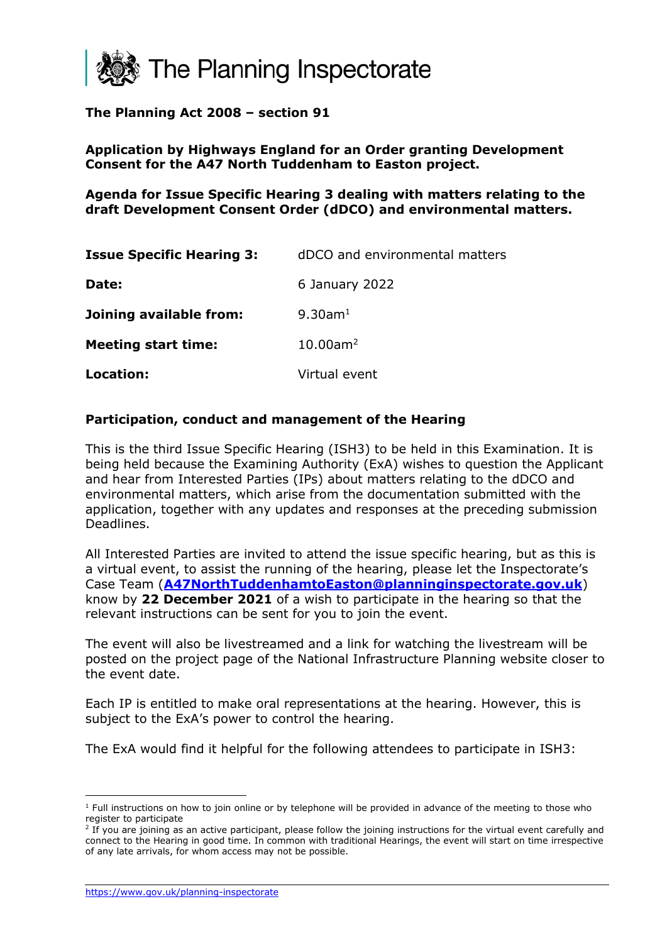

#### **The Planning Act 2008 – section 91**

#### **Application by Highways England for an Order granting Development Consent for the A47 North Tuddenham to Easton project.**

**Agenda for Issue Specific Hearing 3 dealing with matters relating to the draft Development Consent Order (dDCO) and environmental matters.**

| <b>Issue Specific Hearing 3:</b> | dDCO and environmental matters |
|----------------------------------|--------------------------------|
| Date:                            | 6 January 2022                 |
| Joining available from:          | 9.30am <sup>1</sup>            |
| <b>Meeting start time:</b>       | $10.00$ am <sup>2</sup>        |
| Location:                        | Virtual event                  |

#### **Participation, conduct and management of the Hearing**

This is the third Issue Specific Hearing (ISH3) to be held in this Examination. It is being held because the Examining Authority (ExA) wishes to question the Applicant and hear from Interested Parties (IPs) about matters relating to the dDCO and environmental matters, which arise from the documentation submitted with the application, together with any updates and responses at the preceding submission Deadlines.

All Interested Parties are invited to attend the issue specific hearing, but as this is a virtual event, to assist the running of the hearing, please let the Inspectorate's Case Team (**[A47NorthTuddenhamtoEaston@planninginspectorate.gov.uk](https://pinso365.sharepoint.com/sites/NIA47NorthTuddenhamtoEaston/Shared%20Documents/03%20Hearings%20and%20Site%20Inspections/A47NorthTuddenhamtoEaston@planninginspectorate.gov.uk)**) know by **22 December 2021** of a wish to participate in the hearing so that the relevant instructions can be sent for you to join the event.

The event will also be livestreamed and a link for watching the livestream will be posted on the project page of the National Infrastructure Planning website closer to the event date.

Each IP is entitled to make oral representations at the hearing. However, this is subject to the ExA's power to control the hearing.

The ExA would find it helpful for the following attendees to participate in ISH3:

<https://www.gov.uk/planning-inspectorate>

 $1$  Full instructions on how to join online or by telephone will be provided in advance of the meeting to those who register to participate

 $2$  If you are joining as an active participant, please follow the joining instructions for the virtual event carefully and connect to the Hearing in good time. In common with traditional Hearings, the event will start on time irrespective of any late arrivals, for whom access may not be possible.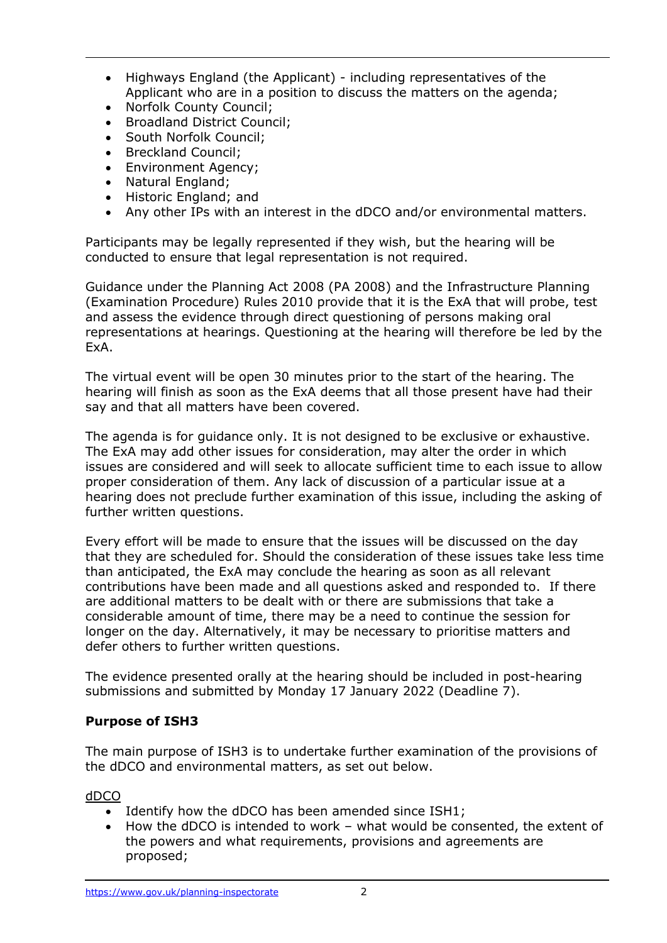- Highways England (the Applicant) including representatives of the Applicant who are in a position to discuss the matters on the agenda;
- Norfolk County Council:
- Broadland District Council;
- South Norfolk Council;
- Breckland Council;
- Environment Agency;
- Natural England;
- Historic England; and
- Any other IPs with an interest in the dDCO and/or environmental matters.

Participants may be legally represented if they wish, but the hearing will be conducted to ensure that legal representation is not required.

Guidance under the Planning Act 2008 (PA 2008) and the Infrastructure Planning (Examination Procedure) Rules 2010 provide that it is the ExA that will probe, test and assess the evidence through direct questioning of persons making oral representations at hearings. Questioning at the hearing will therefore be led by the ExA.

The virtual event will be open 30 minutes prior to the start of the hearing. The hearing will finish as soon as the ExA deems that all those present have had their say and that all matters have been covered.

The agenda is for guidance only. It is not designed to be exclusive or exhaustive. The ExA may add other issues for consideration, may alter the order in which issues are considered and will seek to allocate sufficient time to each issue to allow proper consideration of them. Any lack of discussion of a particular issue at a hearing does not preclude further examination of this issue, including the asking of further written questions.

Every effort will be made to ensure that the issues will be discussed on the day that they are scheduled for. Should the consideration of these issues take less time than anticipated, the ExA may conclude the hearing as soon as all relevant contributions have been made and all questions asked and responded to. If there are additional matters to be dealt with or there are submissions that take a considerable amount of time, there may be a need to continue the session for longer on the day. Alternatively, it may be necessary to prioritise matters and defer others to further written questions.

The evidence presented orally at the hearing should be included in post-hearing submissions and submitted by Monday 17 January 2022 (Deadline 7).

# **Purpose of ISH3**

The main purpose of ISH3 is to undertake further examination of the provisions of the dDCO and environmental matters, as set out below.

dDCO

- Identify how the dDCO has been amended since ISH1;
- How the dDCO is intended to work what would be consented, the extent of the powers and what requirements, provisions and agreements are proposed;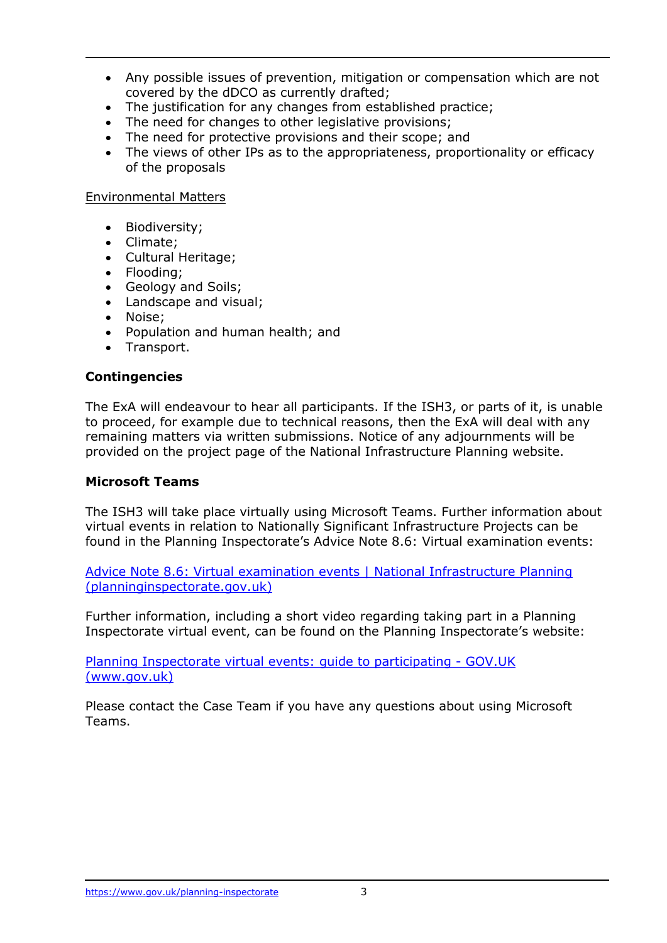- Any possible issues of prevention, mitigation or compensation which are not covered by the dDCO as currently drafted;
- The justification for any changes from established practice;
- The need for changes to other legislative provisions;
- The need for protective provisions and their scope; and
- The views of other IPs as to the appropriateness, proportionality or efficacy of the proposals

#### Environmental Matters

- Biodiversity;
- Climate;
- Cultural Heritage;
- Flooding;
- Geology and Soils;
- Landscape and visual;
- Noise;
- Population and human health; and
- Transport.

#### **Contingencies**

The ExA will endeavour to hear all participants. If the ISH3, or parts of it, is unable to proceed, for example due to technical reasons, then the ExA will deal with any remaining matters via written submissions. Notice of any adjournments will be provided on the project page of the National Infrastructure Planning website.

#### **Microsoft Teams**

The ISH3 will take place virtually using Microsoft Teams. Further information about virtual events in relation to Nationally Significant Infrastructure Projects can be found in the Planning Inspectorate's Advice Note 8.6: Virtual examination events:

[Advice Note 8.6: Virtual examination events | National Infrastructure Planning](https://infrastructure.planninginspectorate.gov.uk/legislation-and-advice/advice-notes/advice-note-8-6-virtual-examination-events/#2)  [\(planninginspectorate.gov.uk\)](https://infrastructure.planninginspectorate.gov.uk/legislation-and-advice/advice-notes/advice-note-8-6-virtual-examination-events/#2)

Further information, including a short video regarding taking part in a Planning Inspectorate virtual event, can be found on the Planning Inspectorate's website:

[Planning Inspectorate virtual events: guide to participating -](https://www.gov.uk/government/publications/planning-inspectorate-virtual-events-guide-to-participating) GOV.UK [\(www.gov.uk\)](https://www.gov.uk/government/publications/planning-inspectorate-virtual-events-guide-to-participating)

Please contact the Case Team if you have any questions about using Microsoft Teams.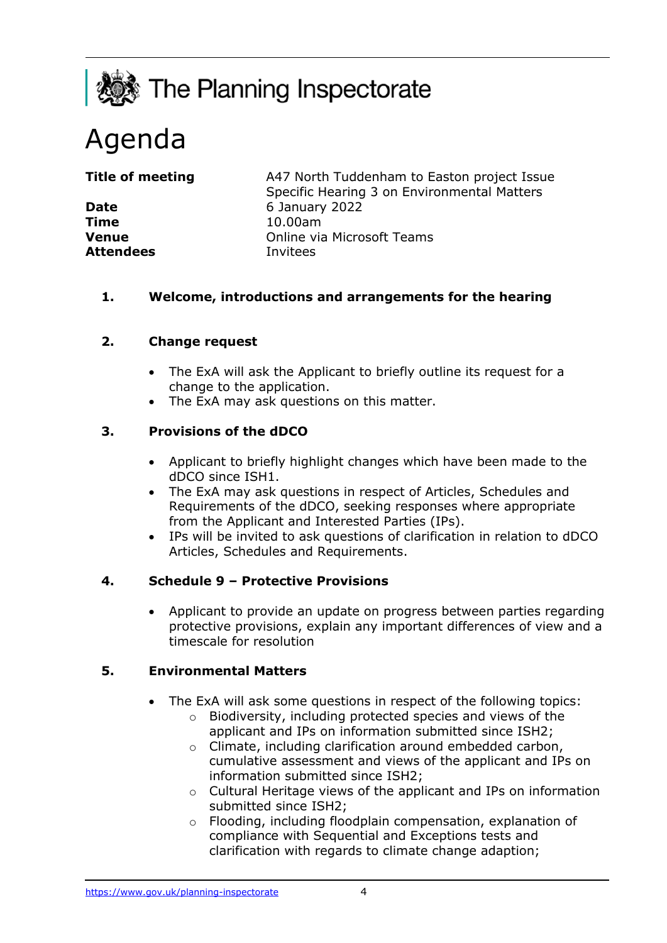

# Agenda

**Time** 10.00am **Attendees** Invitees

**Title of meeting** A47 North Tuddenham to Easton project Issue Specific Hearing 3 on Environmental Matters **Date** 6 January 2022 **Venue Venue Online via Microsoft Teams** 

# **1. Welcome, introductions and arrangements for the hearing**

# **2. Change request**

- The ExA will ask the Applicant to briefly outline its request for a change to the application.
- The ExA may ask questions on this matter.

# **3. Provisions of the dDCO**

- Applicant to briefly highlight changes which have been made to the dDCO since ISH1.
- The ExA may ask questions in respect of Articles, Schedules and Requirements of the dDCO, seeking responses where appropriate from the Applicant and Interested Parties (IPs).
- IPs will be invited to ask questions of clarification in relation to dDCO Articles, Schedules and Requirements.

## **4. Schedule 9 – Protective Provisions**

• Applicant to provide an update on progress between parties regarding protective provisions, explain any important differences of view and a timescale for resolution

## **5. Environmental Matters**

- The ExA will ask some questions in respect of the following topics:
	- o Biodiversity, including protected species and views of the applicant and IPs on information submitted since ISH2;
	- o Climate, including clarification around embedded carbon, cumulative assessment and views of the applicant and IPs on information submitted since ISH2;
	- o Cultural Heritage views of the applicant and IPs on information submitted since ISH2;
	- o Flooding, including floodplain compensation, explanation of compliance with Sequential and Exceptions tests and clarification with regards to climate change adaption;